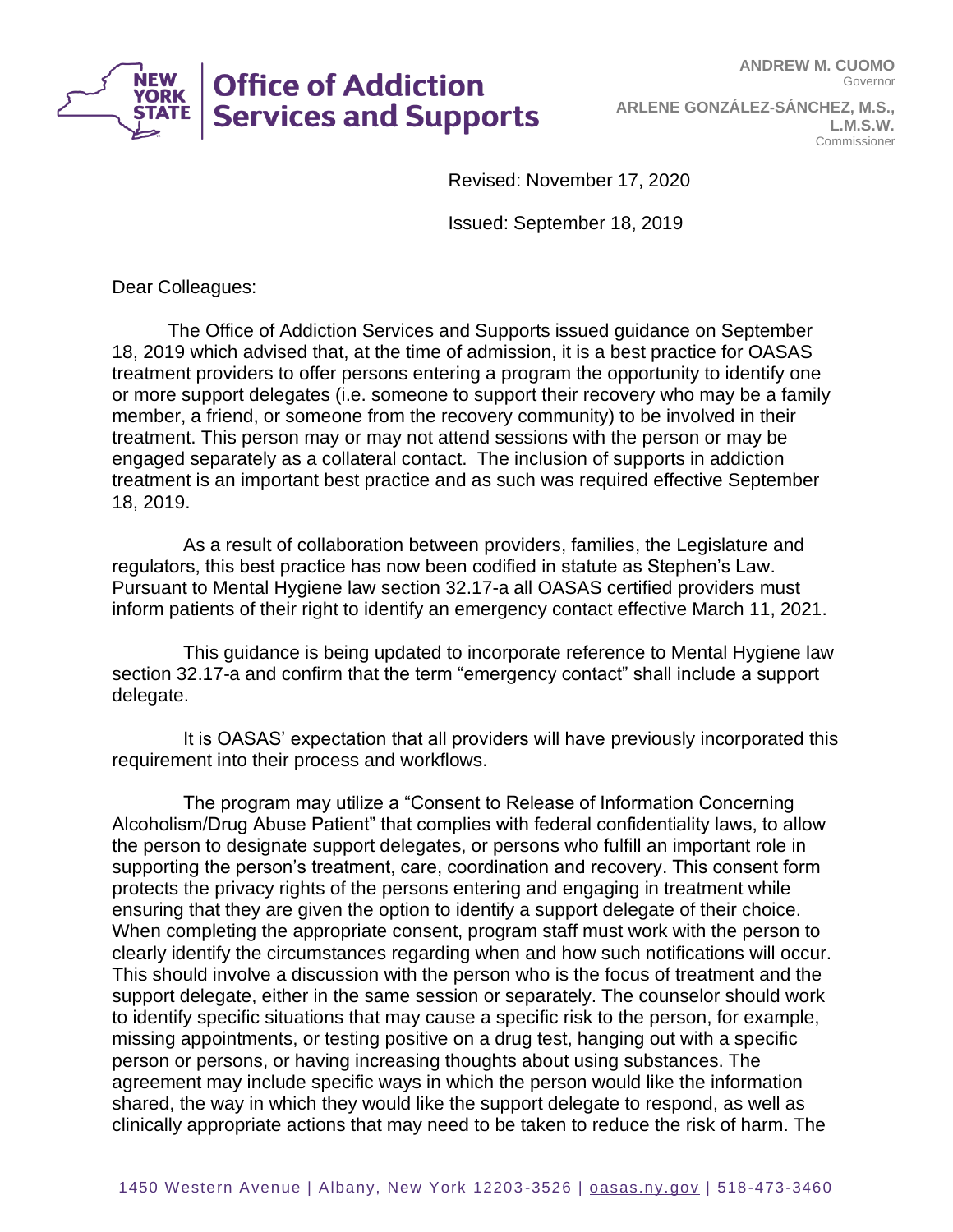**NEW<br>YORK Office of Addiction Services and Supports** 

**ARLENE GONZÁLEZ-SÁNCHEZ, M.S., L.M.S.W.** Commissioner

Revised: November 17, 2020

Issued: September 18, 2019

Dear Colleagues:

The Office of Addiction Services and Supports issued guidance on September 18, 2019 which advised that, at the time of admission, it is a best practice for OASAS treatment providers to offer persons entering a program the opportunity to identify one or more support delegates (i.e. someone to support their recovery who may be a family member, a friend, or someone from the recovery community) to be involved in their treatment. This person may or may not attend sessions with the person or may be engaged separately as a collateral contact. The inclusion of supports in addiction treatment is an important best practice and as such was required effective September 18, 2019.

As a result of collaboration between providers, families, the Legislature and regulators, this best practice has now been codified in statute as Stephen's Law. Pursuant to Mental Hygiene law section 32.17-a all OASAS certified providers must inform patients of their right to identify an emergency contact effective March 11, 2021.

This guidance is being updated to incorporate reference to Mental Hygiene law section 32.17-a and confirm that the term "emergency contact" shall include a support delegate.

It is OASAS' expectation that all providers will have previously incorporated this requirement into their process and workflows.

The program may utilize a "Consent to Release of Information Concerning Alcoholism/Drug Abuse Patient" that complies with federal confidentiality laws, to allow the person to designate support delegates, or persons who fulfill an important role in supporting the person's treatment, care, coordination and recovery. This consent form protects the privacy rights of the persons entering and engaging in treatment while ensuring that they are given the option to identify a support delegate of their choice. When completing the appropriate consent, program staff must work with the person to clearly identify the circumstances regarding when and how such notifications will occur. This should involve a discussion with the person who is the focus of treatment and the support delegate, either in the same session or separately. The counselor should work to identify specific situations that may cause a specific risk to the person, for example, missing appointments, or testing positive on a drug test, hanging out with a specific person or persons, or having increasing thoughts about using substances. The agreement may include specific ways in which the person would like the information shared, the way in which they would like the support delegate to respond, as well as clinically appropriate actions that may need to be taken to reduce the risk of harm. The